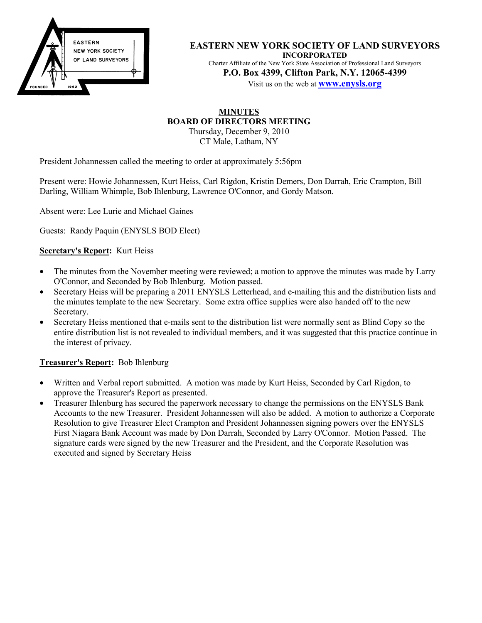

**EASTERN NEW YORK SOCIETY OF LAND SURVEYORS INCORPORATED** Charter Affiliate of the New York State Association of Professional Land Surveyors **P.O. Box 4399, Clifton Park, N.Y. 12065-4399**

Visit us on the web at **www.enysls.org**

#### **MINUTES BOARD OF DIRECTORS MEETING** Thursday, December 9, 2010

CT Male, Latham, NY

President Johannessen called the meeting to order at approximately 5:56pm

Present were: Howie Johannessen, Kurt Heiss, Carl Rigdon, Kristin Demers, Don Darrah, Eric Crampton, Bill Darling, William Whimple, Bob Ihlenburg, Lawrence O'Connor, and Gordy Matson.

Absent were: Lee Lurie and Michael Gaines

Guests: Randy Paquin (ENYSLS BOD Elect)

### **Secretary's Report:** Kurt Heiss

- The minutes from the November meeting were reviewed; a motion to approve the minutes was made by Larry O'Connor, and Seconded by Bob Ihlenburg. Motion passed.
- Secretary Heiss will be preparing a 2011 ENYSLS Letterhead, and e-mailing this and the distribution lists and the minutes template to the new Secretary. Some extra office supplies were also handed off to the new Secretary.
- Secretary Heiss mentioned that e-mails sent to the distribution list were normally sent as Blind Copy so the entire distribution list is not revealed to individual members, and it was suggested that this practice continue in the interest of privacy.

### **Treasurer's Report:** Bob Ihlenburg

- Written and Verbal report submitted. A motion was made by Kurt Heiss, Seconded by Carl Rigdon, to approve the Treasurer's Report as presented.
- Treasurer Ihlenburg has secured the paperwork necessary to change the permissions on the ENYSLS Bank Accounts to the new Treasurer. President Johannessen will also be added. A motion to authorize a Corporate Resolution to give Treasurer Elect Crampton and President Johannessen signing powers over the ENYSLS First Niagara Bank Account was made by Don Darrah, Seconded by Larry O'Connor. Motion Passed. The signature cards were signed by the new Treasurer and the President, and the Corporate Resolution was executed and signed by Secretary Heiss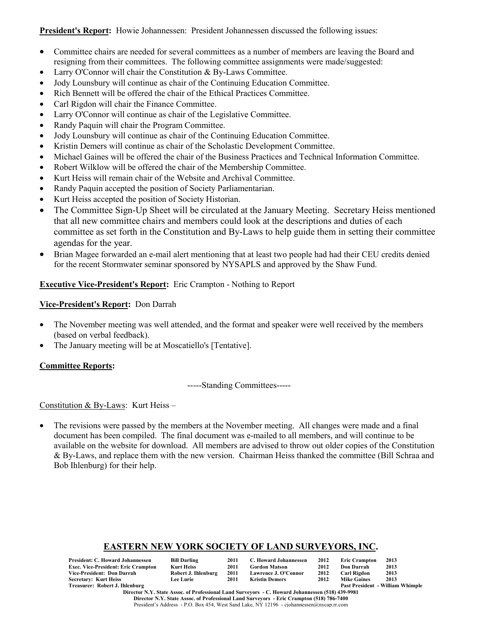**President's Report:** Howie Johannessen: President Johannessen discussed the following issues:

- Committee chairs are needed for several committees as a number of members are leaving the Board and resigning from their committees. The following committee assignments were made/suggested:
- Larry O'Connor will chair the Constitution & By-Laws Committee.
- Jody Lounsbury will continue as chair of the Continuing Education Committee.
- Rich Bennett will be offered the chair of the Ethical Practices Committee.
- Carl Rigdon will chair the Finance Committee.
- Larry O'Connor will continue as chair of the Legislative Committee.
- Randy Paquin will chair the Program Committee.
- Jody Lounsbury will continue as chair of the Continuing Education Committee.
- Kristin Demers will continue as chair of the Scholastic Development Committee.
- Michael Gaines will be offered the chair of the Business Practices and Technical Information Committee.
- Robert Wilklow will be offered the chair of the Membership Committee.
- Kurt Heiss will remain chair of the Website and Archival Committee.
- Randy Paquin accepted the position of Society Parliamentarian.
- Kurt Heiss accepted the position of Society Historian.
- The Committee Sign-Up Sheet will be circulated at the January Meeting. Secretary Heiss mentioned that all new committee chairs and members could look at the descriptions and duties of each committee as set forth in the Constitution and By-Laws to help guide them in setting their committee agendas for the year.
- Brian Magee forwarded an e-mail alert mentioning that at least two people had had their CEU credits denied for the recent Stormwater seminar sponsored by NYSAPLS and approved by the Shaw Fund.

# **Executive Vice-President's Report:** Eric Crampton - Nothing to Report

## **Vice-President's Report:** Don Darrah

- The November meeting was well attended, and the format and speaker were well received by the members (based on verbal feedback).
- The January meeting will be at Moscatiello's [Tentative].

## **Committee Reports:**

-----Standing Committees-----

## Constitution & By-Laws: Kurt Heiss –

• The revisions were passed by the members at the November meeting. All changes were made and a final document has been compiled. The final document was e-mailed to all members, and will continue to be available on the website for download. All members are advised to throw out older copies of the Constitution & By-Laws, and replace them with the new version. Chairman Heiss thanked the committee (Bill Schraa and Bob Ihlenburg) for their help.

# **EASTERN NEW YORK SOCIETY OF LAND SURVEYORS, INC.**

| President: C. Howard Johannessen    | <b>Bill Darling</b> | 2011 | C. Howard Johannessen | 2012 | <b>Eric Crampton</b> | 2013                                    |
|-------------------------------------|---------------------|------|-----------------------|------|----------------------|-----------------------------------------|
| Exec. Vice-President: Eric Crampton | <b>Kurt Heiss</b>   | 2011 | Gordon Matson         | 2012 | Don Darrah           | 2013                                    |
| Vice-President: Don Darrah          | Robert J. Ihlenburg | 2011 | Lawrence J. O'Connor  | 2012 | Carl Rigdon          | 2013                                    |
| Secretary: Kurt Heiss               | <b>Lee Lurie</b>    | 2011 | Kristin Demers        | 2012 | <b>Mike Gaines</b>   | 2013                                    |
| Treasurer: Robert J. Ihlenburg      |                     |      |                       |      |                      | <b>Past President - William Whimple</b> |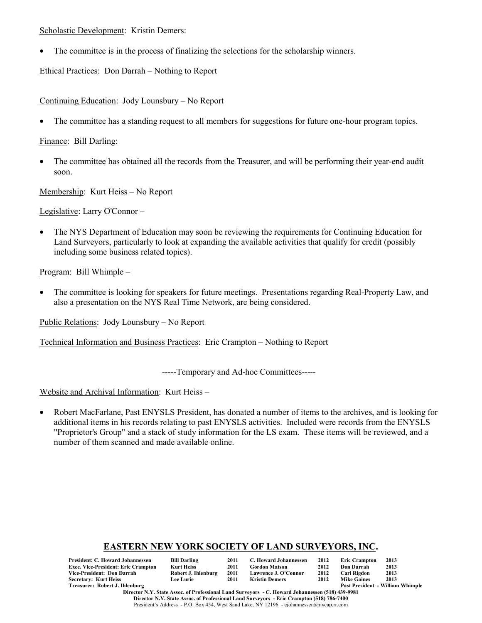Scholastic Development: Kristin Demers:

• The committee is in the process of finalizing the selections for the scholarship winners.

Ethical Practices: Don Darrah – Nothing to Report

Continuing Education: Jody Lounsbury – No Report

• The committee has a standing request to all members for suggestions for future one-hour program topics.

Finance: Bill Darling:

• The committee has obtained all the records from the Treasurer, and will be performing their year-end audit soon.

Membership: Kurt Heiss – No Report

Legislative: Larry O'Connor –

• The NYS Department of Education may soon be reviewing the requirements for Continuing Education for Land Surveyors, particularly to look at expanding the available activities that qualify for credit (possibly including some business related topics).

Program: Bill Whimple –

• The committee is looking for speakers for future meetings. Presentations regarding Real-Property Law, and also a presentation on the NYS Real Time Network, are being considered.

Public Relations: Jody Lounsbury – No Report

Technical Information and Business Practices: Eric Crampton – Nothing to Report

-----Temporary and Ad-hoc Committees-----

Website and Archival Information: Kurt Heiss –

• Robert MacFarlane, Past ENYSLS President, has donated a number of items to the archives, and is looking for additional items in his records relating to past ENYSLS activities. Included were records from the ENYSLS "Proprietor's Group" and a stack of study information for the LS exam. These items will be reviewed, and a number of them scanned and made available online.

# **EASTERN NEW YORK SOCIETY OF LAND SURVEYORS, INC.**

| President: C. Howard Johannessen           | <b>Bill Darling</b> | 2011 | C. Howard Johannessen | 2012 | <b>Eric Crampton</b> | 2013                             |
|--------------------------------------------|---------------------|------|-----------------------|------|----------------------|----------------------------------|
| <b>Exec. Vice-President: Eric Crampton</b> | <b>Kurt Heiss</b>   | 2011 | <b>Gordon Matson</b>  | 2012 | Don Darrah           | 2013                             |
| Vice-President: Don Darrah                 | Robert J. Ihlenburg | 2011 | Lawrence J. O'Connor  | 2012 | Carl Rigdon          | 2013                             |
| <b>Secretary: Kurt Heiss</b>               | <b>Lee Lurie</b>    | 2011 | <b>Kristin Demers</b> | 2012 | <b>Mike Gaines</b>   | 2013                             |
| Treasurer: Robert J. Ihlenburg             |                     |      |                       |      |                      | Past President - William Whimple |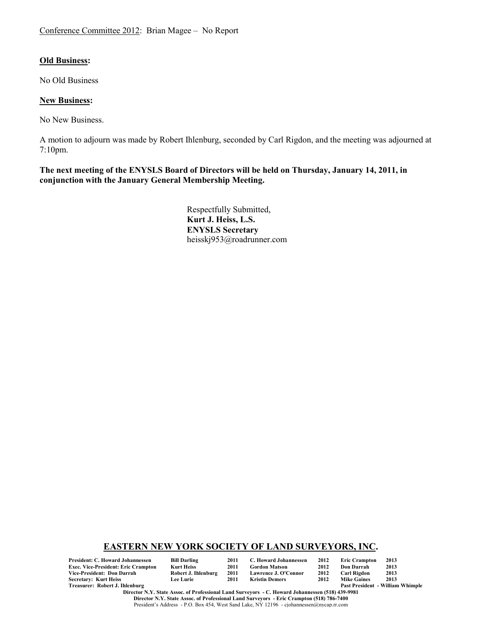### **Old Business:**

No Old Business

#### **New Business:**

No New Business.

A motion to adjourn was made by Robert Ihlenburg, seconded by Carl Rigdon, and the meeting was adjourned at 7:10pm.

**The next meeting of the ENYSLS Board of Directors will be held on Thursday, January 14, 2011, in conjunction with the January General Membership Meeting.**

> Respectfully Submitted, **Kurt J. Heiss, L.S. ENYSLS Secretary** heisskj953@roadrunner.com

### **EASTERN NEW YORK SOCIETY OF LAND SURVEYORS, INC.**

**President: C. Howard Johannessen Bill Darling 2011 C. Howard Johannessen 2012 Eric Crampton 2013 Exec. Vice-President: Eric Crampton Kurt Heiss 2011 Gordon Matson 2012 Don Darrah 2013 Vice-President: Don Darrah Robert J. Ihlenburg 2011 Lawrence J. O'Connor 2012 Carl Rigdon 2013 Secretary: Kurt Heiss<br>Treasurer: Robert J. Ihlenburg** 

| l Darling         |  |
|-------------------|--|
| rt Heiss          |  |
| bert J. Ihlenburg |  |
| e Lurie           |  |

Past President - William Whimple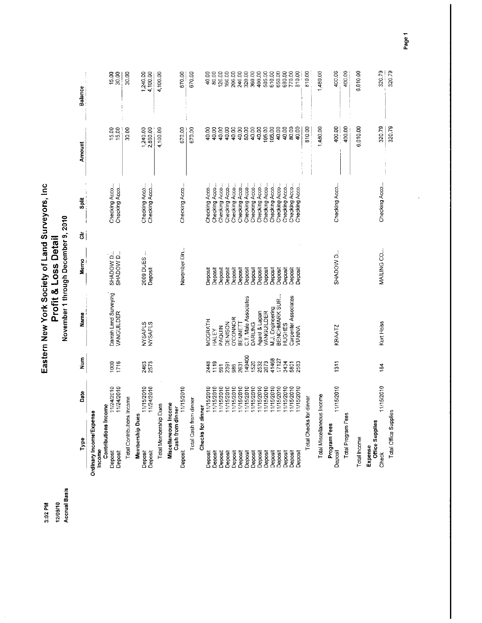|                                                                                                             |                       | Eastern New York Society of Land Surveyors, Inc | November 1 through December 9, 2010<br>Profit & Loss Detail |                                |                      |                                                                     |
|-------------------------------------------------------------------------------------------------------------|-----------------------|-------------------------------------------------|-------------------------------------------------------------|--------------------------------|----------------------|---------------------------------------------------------------------|
| Date<br>Type                                                                                                | <u>Lin</u>            | Name                                            | $\ddot{\vec{\sigma}}$<br>Merno                              | Split                          | Amount               | Balance                                                             |
| 11/24/2010<br>11/24/2010<br>Contributions Income<br>Ordinary Income/Expense<br>Income<br>Deposit<br>Deposit | $\frac{6}{2}$<br>1716 | Darrah Land Surveying<br>VANGUILDER             | SHADOW D                                                    | Checking Acco<br>Checking Acco | $15.00$<br>15.00     | $15.00$<br>30.00                                                    |
| 11/15/2010<br>Total Contributions Income<br>Membership Dues                                                 |                       | <b>NYSAPLS</b>                                  | 2009 DUES                                                   | Checking Acco                  | 30.00<br>1,240.00    | 30.00<br>1,240.00                                                   |
| 1/24/2010<br>Total Membership Dues<br>Deposit<br>Deposit                                                    | 2463<br>2573          | <b>NYSAPLS</b>                                  | Deposit                                                     | Checking Acco                  | 2,860.00<br>4,100.00 | 4,100.00<br>4,100.00                                                |
| 11/15/2010<br>Miscellareous Income<br>Cash from dinner<br>Deposit                                           |                       |                                                 | November Din                                                | Checking Acco                  | 670.00               | 670.00                                                              |
| Total Cash from dinner                                                                                      |                       |                                                 |                                                             |                                | 670.00               | 670.00                                                              |
| 1/15/2010<br>Checks for dinner<br><b>Deposit</b>                                                            |                       | <b>ACGRATH</b>                                  | Jeposit                                                     | Checking Acco                  | 40.00                | 40.00                                                               |
| 1/15/2010<br>1/15/2010<br>Deposit<br>Deposit                                                                | 2448<br>1119<br>591   | PAQUIN<br>HALEY                                 | Deposit<br>Deposit                                          | Checking Acco<br>Checking Acco | 40.00<br>40.00       | 80.00                                                               |
| 1/15/2010<br>Deposit                                                                                        | 2391                  | DENISON                                         | Deposit                                                     | Checking Acco                  | 40.00                | 120.00                                                              |
| 1/15/2010<br>1/15/2010<br>Deposit<br>Deposit                                                                | 2631<br>386           | <b>O'CONNOR</b><br>BENNETT                      | Deposit<br>Deposit                                          | Checking Acco<br>Checking Acco | 40.00<br>40.00       | 200,00<br>240.00                                                    |
| 1/15/2010<br>Deposit                                                                                        | 49400                 | C.T. Male Associates                            | Deposit                                                     | Checking Acco                  | 80.00                | 320.00                                                              |
| 1/15/2010<br>1/15/2010<br>Deposit<br>Deposit                                                                | 520<br>2532<br>2073   | Agard & Lapan<br>DARLING                        | Deposit<br>Deposit                                          | Checking Acco<br>Checking Acco | 40.00<br>40.00       | 360.00<br>400.00                                                    |
| 1/15/2010<br>1/15/2010<br>Deposit<br>Deposit                                                                | 41468                 | M.J. Engineering<br>VANGUILDER                  | Deposit<br>Deposit                                          | Checking Acco<br>Checking Acco | 105.00<br>105.00     | $\begin{array}{c} 505.00 \\ 610.00 \\ 650.00 \\ 690.00 \end{array}$ |
| 1/15/2010<br>Deposit                                                                                        | 17127                 | BENCHMARK SUR                                   | Deposit                                                     | Checking Acco                  | 40.00                |                                                                     |
| 1/15/2010<br>1/15/2010<br>Deposit<br>Deposit                                                                | 3434                  | Carpenter Associates<br><b>TUGHES</b>           | Deposit<br>Deposit                                          | Checking Acco<br>Checking Acco | 40.00<br>80.00       | 770.00                                                              |
| 1/15/2010<br>Deposit                                                                                        | 5801<br>2583          | <b><i>JANNA</i></b>                             | Deposi                                                      | Checking Acco                  | 40.00                | 810.00                                                              |
| Total Checks for dinner                                                                                     |                       |                                                 |                                                             |                                | 810.00               | 810.00                                                              |
| Total Miscellaneous Income                                                                                  |                       |                                                 |                                                             |                                | 1,480.00             | 1,480.00                                                            |
| 1115/2010<br>Program Fees<br>Deposit                                                                        | 1311                  | KRAATZ                                          | SHADOW D.                                                   | Checking Acco                  | 400.00               | 400.00                                                              |
| Total Program Fees                                                                                          |                       |                                                 |                                                             |                                | 400.00               | 400.00                                                              |
| Total Income                                                                                                |                       |                                                 |                                                             |                                | 6,010.00             | 6,010.00                                                            |
| Office Supplies<br>Expense                                                                                  |                       |                                                 |                                                             |                                |                      |                                                                     |
| 11/15/2010<br>Check                                                                                         | 184                   | Kurt Heiss                                      | MAILING CO                                                  | Checking Acco                  | 320.79               | 320.79                                                              |
| Tatal Office Supplies                                                                                       |                       |                                                 |                                                             |                                | 320.79               | 320.79                                                              |

Page 1

12/09/10<br>Accrual Basis 3:02 PM